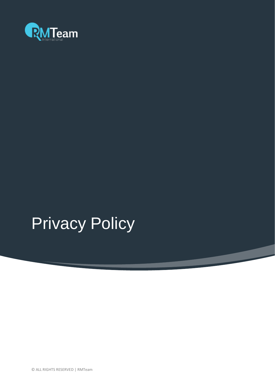

# **Privacy Policy**

© ALL RIGHTS RESERVED | RMTeam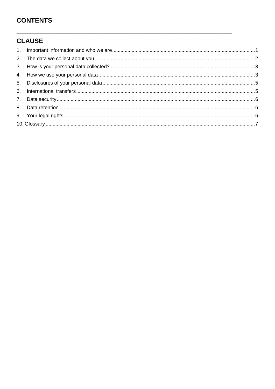# **CONTENTS**

# **CLAUSE**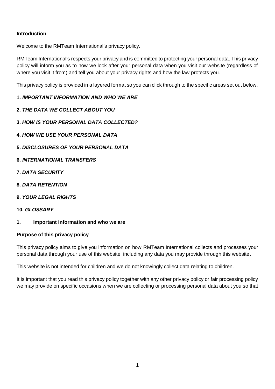## **Introduction**

Welcome to the RMTeam International's privacy policy.

RMTeam International's respects your privacy and is committed to protecting your personal data. This privacy policy will inform you as to how we look after your personal data when you visit our website (regardless of where you visit it from) and tell you about your privacy rights and how the law protects you.

This privacy policy is provided in a layered format so you can click through to the specific areas set out below.

#### **1.** *IMPORTANT INFORMATION AND WHO WE ARE*

- **2.** *THE DATA WE COLLECT ABOUT YOU*
- **3.** *HOW IS YOUR PERSONAL DATA COLLECTED?*
- **4.** *HOW WE USE YOUR PERSONAL DATA*
- **5.** *DISCLOSURES OF YOUR PERSONAL DATA*
- **6.** *INTERNATIONAL TRANSFERS*
- **7.** *DATA SECURITY*
- **8.** *DATA RETENTION*
- **9.** *YOUR LEGAL RIGHTS*
- **10.** *GLOSSARY*
- <span id="page-2-0"></span>**1. Important information and who we are**

#### **Purpose of this privacy policy**

This privacy policy aims to give you information on how RMTeam International collects and processes your personal data through your use of this website, including any data you may provide through this website.

This website is not intended for children and we do not knowingly collect data relating to children.

It is important that you read this privacy policy together with any other privacy policy or fair processing policy we may provide on specific occasions when we are collecting or processing personal data about you so that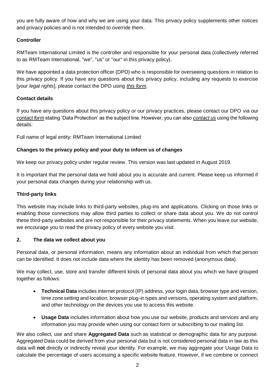you are fully aware of how and why we are using your data. This privacy policy supplements other notices and privacy policies and is not intended to override them.

## **Controller**

RMTeam International Limited is the controller and responsible for your personal data (collectively referred to as RMTeam International, "we", "us" or "our" in this privacy policy).

We have appointed a data protection officer (DPO) who is responsible for overseeing questions in relation to this privacy policy. If you have any questions about this privacy policy, including any requests to exercise [*your legal rights*], please contact the DPO using *this form*.

## **Contact details**

If you have any questions about this privacy policy or our privacy practices, please contact our DPO via our *[contact form](http://rmteam.org/#section-contact-us)* stating 'Data Protection' as the subject line. However, you can also *[contact us](http://rmteam.org/#section-contact-us)* using the following details:

Full name of legal entity: RMTeam International Limited

## **Changes to the privacy policy and your duty to inform us of changes**

We keep our privacy policy under regular review. This version was last updated in August 2019.

It is important that the personal data we hold about you is accurate and current. Please keep us informed if your personal data changes during your relationship with us.

#### **Third-party links**

This website may include links to third-party websites, plug-ins and applications. Clicking on those links or enabling those connections may allow third parties to collect or share data about you. We do not control these third-party websites and are not responsible for their privacy statements. When you leave our website, we encourage you to read the privacy policy of every website you visit.

#### <span id="page-3-0"></span>**2. The data we collect about you**

Personal data, or personal information, means any information about an individual from which that person can be identified. It does not include data where the identity has been removed (anonymous data).

We may collect, use, store and transfer different kinds of personal data about you which we have grouped together as follows:

- **Technical Data** includes internet protocol (IP) address, your login data, browser type and version, time zone setting and location, browser plug-in types and versions, operating system and platform, and other technology on the devices you use to access this website.
- **Usage Data** includes information about how you use our website, products and services and any information you may provide when using our contact form or subscribing to our mailing list.

We also collect, use and share **Aggregated Data** such as statistical or demographic data for any purpose. Aggregated Data could be derived from your personal data but is not considered personal data in law as this data will **not** directly or indirectly reveal your identity. For example, we may aggregate your Usage Data to calculate the percentage of users accessing a specific website feature. However, if we combine or connect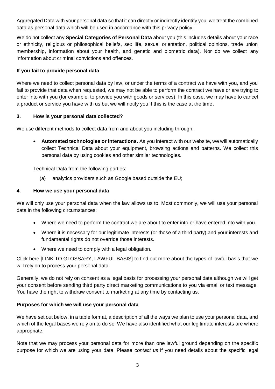Aggregated Data with your personal data so that it can directly or indirectly identify you, we treat the combined data as personal data which will be used in accordance with this privacy policy.

We do not collect any **Special Categories of Personal Data** about you (this includes details about your race or ethnicity, religious or philosophical beliefs, sex life, sexual orientation, political opinions, trade union membership, information about your health, and genetic and biometric data). Nor do we collect any information about criminal convictions and offences.

#### **If you fail to provide personal data**

Where we need to collect personal data by law, or under the terms of a contract we have with you, and you fail to provide that data when requested, we may not be able to perform the contract we have or are trying to enter into with you (for example, to provide you with goods or services). In this case, we may have to cancel a product or service you have with us but we will notify you if this is the case at the time.

#### <span id="page-4-0"></span>**3. How is your personal data collected?**

We use different methods to collect data from and about you including through:

• **Automated technologies or interactions.** As you interact with our website, we will automatically collect Technical Data about your equipment, browsing actions and patterns. We collect this personal data by using cookies and other similar technologies.

Technical Data from the following parties:

<span id="page-4-1"></span>(a) analytics providers such as Google based outside the EU;

#### **4. How we use your personal data**

We will only use your personal data when the law allows us to. Most commonly, we will use your personal data in the following circumstances:

- Where we need to perform the contract we are about to enter into or have entered into with you.
- Where it is necessary for our legitimate interests (or those of a third party) and your interests and fundamental rights do not override those interests.
- Where we need to comply with a legal obligation.

Click here [LINK TO GLOSSARY, LAWFUL BASIS] to find out more about the types of lawful basis that we will rely on to process your personal data.

Generally, we do not rely on consent as a legal basis for processing your personal data although we will get your consent before sending third party direct marketing communications to you via email or text message. You have the right to withdraw consent to marketing at any time by contacting us.

#### **Purposes for which we will use your personal data**

We have set out below, in a table format, a description of all the ways we plan to use your personal data, and which of the legal bases we rely on to do so. We have also identified what our legitimate interests are where appropriate.

Note that we may process your personal data for more than one lawful ground depending on the specific purpose for which we are using your data. Please *[contact us](http://rmteam.org/#section-contact-us)* if you need details about the specific legal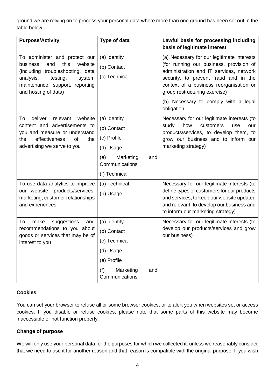ground we are relying on to process your personal data where more than one ground has been set out in the table below.

| <b>Purpose/Activity</b>                                                                                                                                                                               | Type of data                                                                                                          | Lawful basis for processing including<br>basis of legitimate interest                                                                                                                                                                                                                                       |
|-------------------------------------------------------------------------------------------------------------------------------------------------------------------------------------------------------|-----------------------------------------------------------------------------------------------------------------------|-------------------------------------------------------------------------------------------------------------------------------------------------------------------------------------------------------------------------------------------------------------------------------------------------------------|
| To administer and protect our<br>this<br>business<br>and<br>website<br>(including troubleshooting, data<br>analysis,<br>testing,<br>system<br>maintenance, support, reporting<br>and hosting of data) | (a) Identity<br>(b) Contact<br>(c) Technical                                                                          | (a) Necessary for our legitimate interests<br>(for running our business, provision of<br>administration and IT services, network<br>security, to prevent fraud and in the<br>context of a business reorganisation or<br>group restructuring exercise)<br>(b) Necessary to comply with a legal<br>obligation |
| deliver<br>relevant<br>website<br>To<br>content and advertisements to<br>you and measure or understand<br>effectiveness<br>of<br>the<br>the<br>advertising we serve to you                            | (a) Identity<br>(b) Contact<br>(c) Profile<br>(d) Usage<br>Marketing<br>(e)<br>and<br>Communications<br>(f) Technical | Necessary for our legitimate interests (to<br>study<br>how<br>customers<br>use<br>our<br>products/services, to develop them, to<br>grow our business and to inform our<br>marketing strategy)                                                                                                               |
| To use data analytics to improve<br>our website, products/services,<br>marketing, customer relationships<br>and experiences                                                                           | (a) Technical<br>(b) Usage                                                                                            | Necessary for our legitimate interests (to<br>define types of customers for our products<br>and services, to keep our website updated<br>and relevant, to develop our business and<br>to inform our marketing strategy)                                                                                     |
| suggestions<br>To<br>make<br>and<br>recommendations to you about<br>goods or services that may be of<br>interest to you                                                                               | (a) Identity<br>(b) Contact<br>(c) Technical<br>(d) Usage<br>(e) Profile<br>Marketing<br>(f)<br>and<br>Communications | Necessary for our legitimate interests (to<br>develop our products/services and grow<br>our business)                                                                                                                                                                                                       |

#### **Cookies**

You can set your browser to refuse all or some browser cookies, or to alert you when websites set or access cookies. If you disable or refuse cookies, please note that some parts of this website may become inaccessible or not function properly.

#### **Change of purpose**

We will only use your personal data for the purposes for which we collected it, unless we reasonably consider that we need to use it for another reason and that reason is compatible with the original purpose. If you wish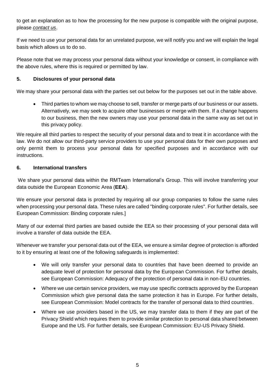to get an explanation as to how the processing for the new purpose is compatible with the original purpose, please *[contact us](http://rmteam.org/#section-contact-us)*.

If we need to use your personal data for an unrelated purpose, we will notify you and we will explain the legal basis which allows us to do so.

Please note that we may process your personal data without your knowledge or consent, in compliance with the above rules, where this is required or permitted by law.

#### <span id="page-6-0"></span>**5. Disclosures of your personal data**

We may share your personal data with the parties set out below for the purposes set out in the table above.

• Third parties to whom we may choose to sell, transfer or merge parts of our business or our assets. Alternatively, we may seek to acquire other businesses or merge with them. If a change happens to our business, then the new owners may use your personal data in the same way as set out in this privacy policy.

We require all third parties to respect the security of your personal data and to treat it in accordance with the law. We do not allow our third-party service providers to use your personal data for their own purposes and only permit them to process your personal data for specified purposes and in accordance with our instructions.

#### <span id="page-6-1"></span>**6. International transfers**

We share your personal data within the RMTeam International's Group. This will involve transferring your data outside the European Economic Area (**EEA**).

We ensure your personal data is protected by requiring all our group companies to follow the same rules when processing your personal data. These rules are called "binding corporate rules". For further details, see European Commission: Binding corporate rules.]

Many of our external third parties are based outside the EEA so their processing of your personal data will involve a transfer of data outside the EEA.

Whenever we transfer your personal data out of the EEA, we ensure a similar degree of protection is afforded to it by ensuring at least one of the following safeguards is implemented:

- We will only transfer your personal data to countries that have been deemed to provide an adequate level of protection for personal data by the European Commission. For further details, see European Commission: Adequacy of the protection of personal data in non-EU countries.
- Where we use certain service providers, we may use specific contracts approved by the European Commission which give personal data the same protection it has in Europe. For further details, see European Commission: Model contracts for the transfer of personal data to third countries.
- Where we use providers based in the US, we may transfer data to them if they are part of the Privacy Shield which requires them to provide similar protection to personal data shared between Europe and the US. For further details, see European Commission: EU-US Privacy Shield.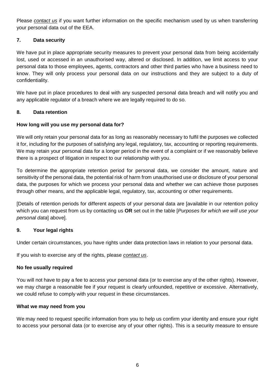Please *[contact us](http://rmteam.org/#section-contact-us)* if you want further information on the specific mechanism used by us when transferring your personal data out of the EEA.

## <span id="page-7-0"></span>**7. Data security**

We have put in place appropriate security measures to prevent your personal data from being accidentally lost, used or accessed in an unauthorised way, altered or disclosed. In addition, we limit access to your personal data to those employees, agents, contractors and other third parties who have a business need to know. They will only process your personal data on our instructions and they are subject to a duty of confidentiality.

We have put in place procedures to deal with any suspected personal data breach and will notify you and any applicable regulator of a breach where we are legally required to do so.

#### <span id="page-7-1"></span>**8. Data retention**

## **How long will you use my personal data for?**

We will only retain your personal data for as long as reasonably necessary to fulfil the purposes we collected it for, including for the purposes of satisfying any legal, regulatory, tax, accounting or reporting requirements. We may retain your personal data for a longer period in the event of a complaint or if we reasonably believe there is a prospect of litigation in respect to our relationship with you.

To determine the appropriate retention period for personal data, we consider the amount, nature and sensitivity of the personal data, the potential risk of harm from unauthorised use or disclosure of your personal data, the purposes for which we process your personal data and whether we can achieve those purposes through other means, and the applicable legal, regulatory, tax, accounting or other requirements.

[Details of retention periods for different aspects of your personal data are [available in our retention policy which you can request from us by contacting us **OR** set out in the table [*Purposes for which we will use your personal data*] above].

#### <span id="page-7-2"></span>**9. Your legal rights**

Under certain circumstances, you have rights under data protection laws in relation to your personal data.

If you wish to exercise any of the rights, please *[contact us](http://rmteam.org/#section-contact-us)*.

#### **No fee usually required**

You will not have to pay a fee to access your personal data (or to exercise any of the other rights). However, we may charge a reasonable fee if your request is clearly unfounded, repetitive or excessive. Alternatively, we could refuse to comply with your request in these circumstances.

#### **What we may need from you**

We may need to request specific information from you to help us confirm your identity and ensure your right to access your personal data (or to exercise any of your other rights). This is a security measure to ensure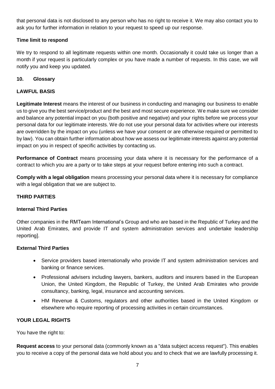that personal data is not disclosed to any person who has no right to receive it. We may also contact you to ask you for further information in relation to your request to speed up our response.

## **Time limit to respond**

We try to respond to all legitimate requests within one month. Occasionally it could take us longer than a month if your request is particularly complex or you have made a number of requests. In this case, we will notify you and keep you updated.

#### <span id="page-8-0"></span>**10. Glossary**

#### **LAWFUL BASIS**

**Legitimate Interest** means the interest of our business in conducting and managing our business to enable us to give you the best service/product and the best and most secure experience. We make sure we consider and balance any potential impact on you (both positive and negative) and your rights before we process your personal data for our legitimate interests. We do not use your personal data for activities where our interests are overridden by the impact on you (unless we have your consent or are otherwise required or permitted to by law). You can obtain further information about how we assess our legitimate interests against any potential impact on you in respect of specific activities by contacting us.

**Performance of Contract** means processing your data where it is necessary for the performance of a contract to which you are a party or to take steps at your request before entering into such a contract.

**Comply with a legal obligation** means processing your personal data where it is necessary for compliance with a legal obligation that we are subject to.

#### **THIRD PARTIES**

#### **Internal Third Parties**

Other companies in the RMTeam International's Group and who are based in the Republic of Turkey and the United Arab Emirates, and provide IT and system administration services and undertake leadership reporting].

#### **External Third Parties**

- Service providers based internationally who provide IT and system administration services and banking or finance services.
- Professional advisers including lawyers, bankers, auditors and insurers based in the European Union, the United Kingdom, the Republic of Turkey, the United Arab Emirates who provide consultancy, banking, legal, insurance and accounting services.
- HM Revenue & Customs, regulators and other authorities based in the United Kingdom or elsewhere who require reporting of processing activities in certain circumstances.

#### **YOUR LEGAL RIGHTS**

You have the right to:

**Request access** to your personal data (commonly known as a "data subject access request"). This enables you to receive a copy of the personal data we hold about you and to check that we are lawfully processing it.